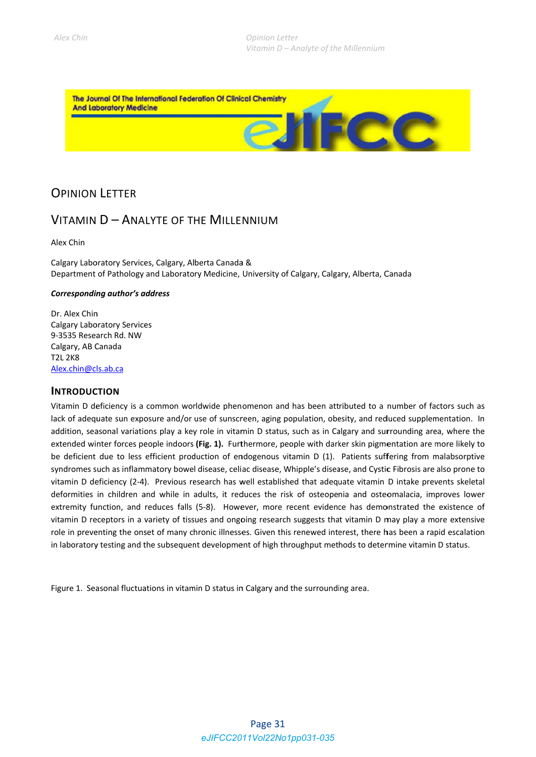FCC

The Journal Of The International Federation Of Clinical Chemistry **And Laboratory Medicine** 

# **OPINION LETTER**

## VITAMIN D - ANALYTE OF THE MILLENNIUM

Alex Chin

Calgary Laboratory Services, Calgary, Alberta Canada & Department of Pathology and Laboratory Medicine, University of Calgary, Calgary, Alberta, Canada

### Corresponding author's address

Dr. Alex Chin **Calgary Laboratory Services** 9-3535 Research Rd. NW Calgary, AB Canada **T2L 2K8** Alex.chin@cls.ab.ca

### **INTRODUCTION**

Vitamin D deficiency is a common worldwide phenomenon and has been attributed to a number of factors such as lack of adequate sun exposure and/or use of sunscreen, aging population, obesity, and reduced supplementation. In addition, seasonal variations play a key role in vitamin D status, such as in Calgary and surrounding area, where the extended winter forces people indoors (Fig. 1). Furthermore, people with darker skin pigmentation are more likely to be deficient due to less efficient production of endogenous vitamin D (1). Patients suffering from malabsorptive syndromes such as inflammatory bowel disease, celiac disease, Whipple's disease, and Cystic Fibrosis are also prone to vitamin D deficiency (2-4). Previous research has well established that adequate vitamin D intake prevents skeletal deformities in children and while in adults, it reduces the risk of osteopenia and osteomalacia, improves lower extremity function, and reduces falls (5-8). However, more recent evidence has demonstrated the existence of vitamin D receptors in a variety of tissues and ongoing research suggests that vitamin D may play a more extensive role in preventing the onset of many chronic illnesses. Given this renewed interest, there has been a rapid escalation in laboratory testing and the subsequent development of high throughput methods to determine vitamin D status.

Figure 1. Seasonal fluctuations in vitamin D status in Calgary and the surrounding area.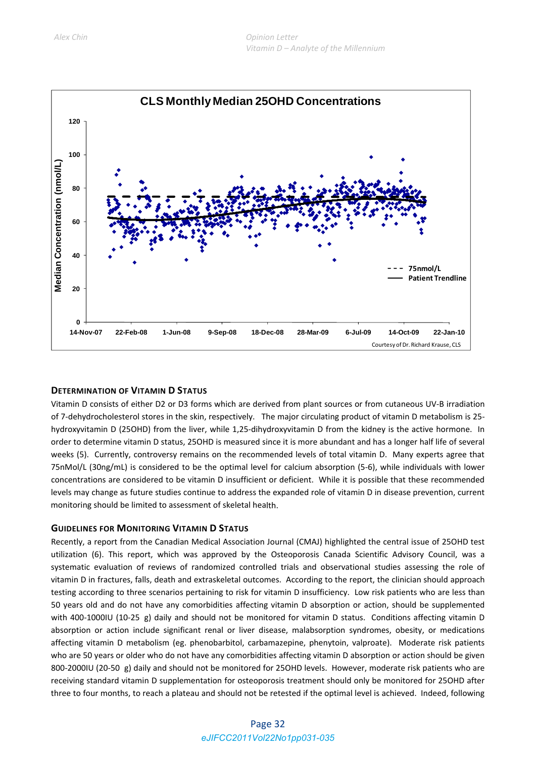

### **DETERMINATION OF VITAMIN D STATUS**

Vitamin D consists of either D2 or D3 forms which are derived from plant sources or from cutaneous UV‐B irradiation of 7-dehydrocholesterol stores in the skin, respectively. The major circulating product of vitamin D metabolism is 25hydroxyvitamin D (25OHD) from the liver, while 1,25‐dihydroxyvitamin D from the kidney is the active hormone. In order to determine vitamin D status, 25OHD is measured since it is more abundant and has a longer half life of several weeks (5). Currently, controversy remains on the recommended levels of total vitamin D. Many experts agree that 75nMol/L (30ng/mL) is considered to be the optimal level for calcium absorption (5‐6), while individuals with lower concentrations are considered to be vitamin D insufficient or deficient. While it is possible that these recommended levels may change as future studies continue to address the expanded role of vitamin D in disease prevention, current monitoring should be limited to assessment of skeletal health.

#### **GUIDELINES FOR MONITORING VITAMIN D STATUS**

Recently, a report from the Canadian Medical Association Journal (CMAJ) highlighted the central issue of 25OHD test utilization (6). This report, which was approved by the Osteoporosis Canada Scientific Advisory Council, was a systematic evaluation of reviews of randomized controlled trials and observational studies assessing the role of vitamin D in fractures, falls, death and extraskeletal outcomes. According to the report, the clinician should approach testing according to three scenarios pertaining to risk for vitamin D insufficiency. Low risk patients who are less than 50 years old and do not have any comorbidities affecting vitamin D absorption or action, should be supplemented with 400-1000IU (10-25 g) daily and should not be monitored for vitamin D status. Conditions affecting vitamin D absorption or action include significant renal or liver disease, malabsorption syndromes, obesity, or medications affecting vitamin D metabolism (eg. phenobarbitol, carbamazepine, phenytoin, valproate). Moderate risk patients who are 50 years or older who do not have any comorbidities affecting vitamin D absorption or action should be given 800-2000IU (20-50 g) daily and should not be monitored for 25OHD levels. However, moderate risk patients who are receiving standard vitamin D supplementation for osteoporosis treatment should only be monitored for 25OHD after three to four months, to reach a plateau and should not be retested if the optimal level is achieved. Indeed, following

### Page 32 *eJIFCC2011Vol22No1pp031-035*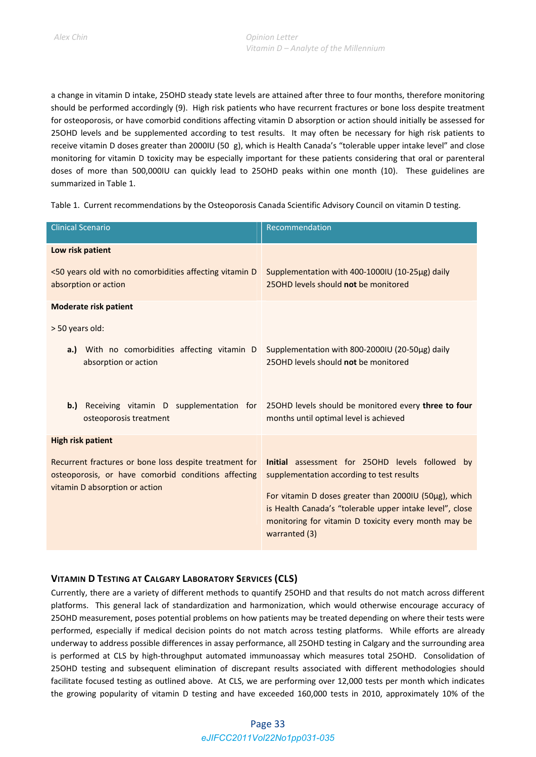a change in vitamin D intake, 25OHD steady state levels are attained after three to four months, therefore monitoring should be performed accordingly (9). High risk patients who have recurrent fractures or bone loss despite treatment for osteoporosis, or have comorbid conditions affecting vitamin D absorption or action should initially be assessed for 25OHD levels and be supplemented according to test results. It may often be necessary for high risk patients to receive vitamin D doses greater than 2000IU (50g), which is Health Canada's "tolerable upper intake level" and close monitoring for vitamin D toxicity may be especially important for these patients considering that oral or parenteral doses of more than 500,000IU can quickly lead to 25OHD peaks within one month (10). These guidelines are summarized in Table 1.

Table 1. Current recommendations by the Osteoporosis Canada Scientific Advisory Council on vitamin D testing.

| <b>Clinical Scenario</b>                                                                                                                        | Recommendation                                                                                                                                                                                                                                                                             |
|-------------------------------------------------------------------------------------------------------------------------------------------------|--------------------------------------------------------------------------------------------------------------------------------------------------------------------------------------------------------------------------------------------------------------------------------------------|
| Low risk patient<br><50 years old with no comorbidities affecting vitamin D<br>absorption or action                                             | Supplementation with 400-1000IU (10-25µg) daily<br>250HD levels should not be monitored                                                                                                                                                                                                    |
| <b>Moderate risk patient</b><br>> 50 years old:<br>With no comorbidities affecting vitamin D<br>a.)<br>absorption or action                     | Supplementation with 800-2000IU (20-50µg) daily<br>25OHD levels should not be monitored                                                                                                                                                                                                    |
| Receiving vitamin D supplementation for<br>b.)<br>osteoporosis treatment                                                                        | 250HD levels should be monitored every three to four<br>months until optimal level is achieved                                                                                                                                                                                             |
| <b>High risk patient</b>                                                                                                                        |                                                                                                                                                                                                                                                                                            |
| Recurrent fractures or bone loss despite treatment for<br>osteoporosis, or have comorbid conditions affecting<br>vitamin D absorption or action | Initial assessment for 250HD levels followed by<br>supplementation according to test results<br>For vitamin D doses greater than 2000IU (50µg), which<br>is Health Canada's "tolerable upper intake level", close<br>monitoring for vitamin D toxicity every month may be<br>warranted (3) |

### **VITAMIN D TESTING AT CALGARY LABORATORY SERVICES (CLS)**

Currently, there are a variety of different methods to quantify 25OHD and that results do not match across different platforms. This general lack of standardization and harmonization, which would otherwise encourage accuracy of 25OHD measurement, poses potential problems on how patients may be treated depending on where their tests were performed, especially if medical decision points do not match across testing platforms. While efforts are already underway to address possible differences in assay performance, all 25OHD testing in Calgary and the surrounding area is performed at CLS by high-throughput automated immunoassay which measures total 25OHD. Consolidation of 25OHD testing and subsequent elimination of discrepant results associated with different methodologies should facilitate focused testing as outlined above. At CLS, we are performing over 12,000 tests per month which indicates the growing popularity of vitamin D testing and have exceeded 160,000 tests in 2010, approximately 10% of the

### Page 33 *eJIFCC2011Vol22No1pp031-035*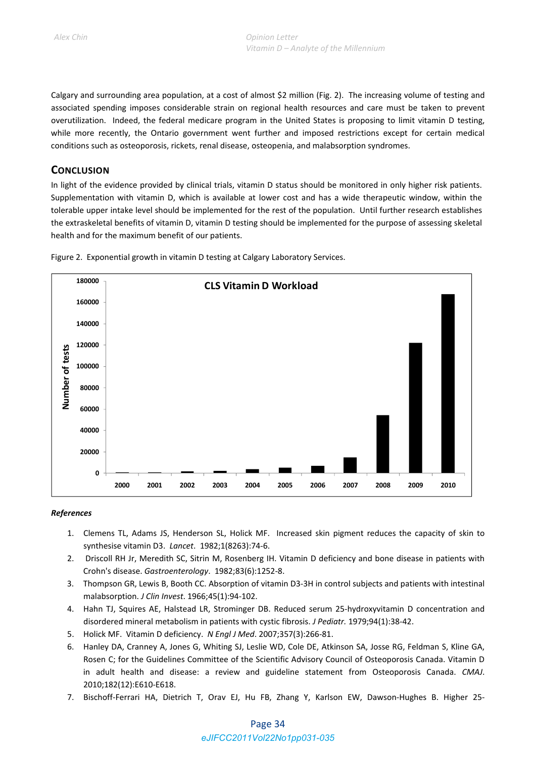Calgary and surrounding area population, at a cost of almost \$2 million (Fig. 2). The increasing volume of testing and associated spending imposes considerable strain on regional health resources and care must be taken to prevent overutilization. Indeed, the federal medicare program in the United States is proposing to limit vitamin D testing, while more recently, the Ontario government went further and imposed restrictions except for certain medical conditions such as osteoporosis, rickets, renal disease, osteopenia, and malabsorption syndromes.

### **CONCLUSION**

In light of the evidence provided by clinical trials, vitamin D status should be monitored in only higher risk patients. Supplementation with vitamin D, which is available at lower cost and has a wide therapeutic window, within the tolerable upper intake level should be implemented for the rest of the population. Until further research establishes the extraskeletal benefits of vitamin D, vitamin D testing should be implemented for the purpose of assessing skeletal health and for the maximum benefit of our patients.



Figure 2. Exponential growth in vitamin D testing at Calgary Laboratory Services.

#### *References*

- 1. Clemens TL, Adams JS, Henderson SL, Holick MF. Increased skin pigment reduces the capacity of skin to synthesise vitamin D3. *Lancet*. 1982;1(8263):74‐6.
- 2. Driscoll RH Jr, Meredith SC, Sitrin M, Rosenberg IH. Vitamin D deficiency and bone disease in patients with Crohn's disease. *Gastroenterology*. 1982;83(6):1252‐8.
- 3. Thompson GR, Lewis B, Booth CC. Absorption of vitamin D3‐3H in control subjects and patients with intestinal malabsorption. *J Clin Invest*. 1966;45(1):94‐102.
- 4. Hahn TJ, Squires AE, Halstead LR, Strominger DB. Reduced serum 25-hydroxyvitamin D concentration and disordered mineral metabolism in patients with cystic fibrosis. *J Pediatr.* 1979;94(1):38‐42.
- 5. Holick MF. Vitamin D deficiency. *N Engl J Med*. 2007;357(3):266‐81.
- 6. Hanley DA, Cranney A, Jones G, Whiting SJ, Leslie WD, Cole DE, Atkinson SA, Josse RG, Feldman S, Kline GA, Rosen C; for the Guidelines Committee of the Scientific Advisory Council of Osteoporosis Canada. Vitamin D in adult health and disease: a review and guideline statement from Osteoporosis Canada. *CMAJ*. 2010;182(12):E610‐E618.
- 7. Bischoff-Ferrari HA, Dietrich T, Orav EJ, Hu FB, Zhang Y, Karlson EW, Dawson-Hughes B. Higher 25-

### Page 34 *eJIFCC2011Vol22No1pp031-035*